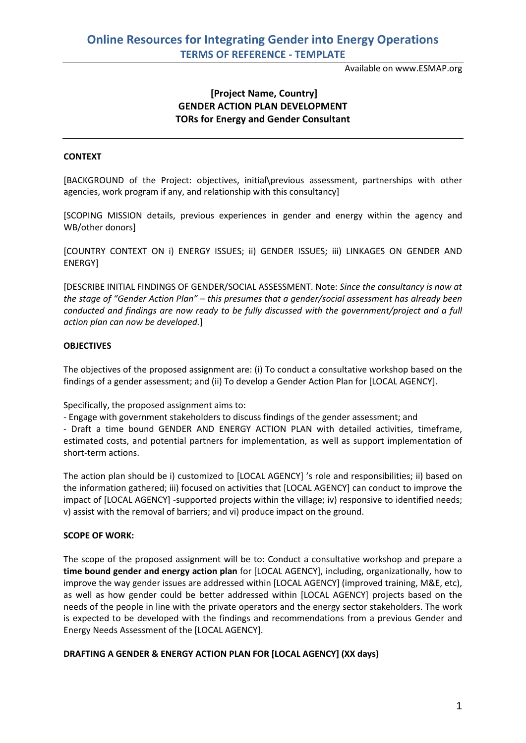Available on www.ESMAP.org

# **[Project Name, Country] GENDER ACTION PLAN DEVELOPMENT TORs for Energy and Gender Consultant**

## **CONTEXT**

[BACKGROUND of the Project: objectives, initial\previous assessment, partnerships with other agencies, work program if any, and relationship with this consultancy]

[SCOPING MISSION details, previous experiences in gender and energy within the agency and WB/other donors]

[COUNTRY CONTEXT ON i) ENERGY ISSUES; ii) GENDER ISSUES; iii) LINKAGES ON GENDER AND ENERGY]

[DESCRIBE INITIAL FINDINGS OF GENDER/SOCIAL ASSESSMENT. Note: *Since the consultancy is now at the stage of "Gender Action Plan" – this presumes that a gender/social assessment has already been conducted and findings are now ready to be fully discussed with the government/project and a full action plan can now be developed.*]

#### **OBJECTIVES**

The objectives of the proposed assignment are: (i) To conduct a consultative workshop based on the findings of a gender assessment; and (ii) To develop a Gender Action Plan for [LOCAL AGENCY].

Specifically, the proposed assignment aims to:

- Engage with government stakeholders to discuss findings of the gender assessment; and

- Draft a time bound GENDER AND ENERGY ACTION PLAN with detailed activities, timeframe, estimated costs, and potential partners for implementation, as well as support implementation of short-term actions.

The action plan should be i) customized to [LOCAL AGENCY] 's role and responsibilities; ii) based on the information gathered; iii) focused on activities that [LOCAL AGENCY] can conduct to improve the impact of [LOCAL AGENCY] -supported projects within the village; iv) responsive to identified needs; v) assist with the removal of barriers; and vi) produce impact on the ground.

#### **SCOPE OF WORK:**

The scope of the proposed assignment will be to: Conduct a consultative workshop and prepare a **time bound gender and energy action plan** for [LOCAL AGENCY], including, organizationally, how to improve the way gender issues are addressed within [LOCAL AGENCY] (improved training, M&E, etc), as well as how gender could be better addressed within [LOCAL AGENCY] projects based on the needs of the people in line with the private operators and the energy sector stakeholders. The work is expected to be developed with the findings and recommendations from a previous Gender and Energy Needs Assessment of the [LOCAL AGENCY].

#### **DRAFTING A GENDER & ENERGY ACTION PLAN FOR [LOCAL AGENCY] (XX days)**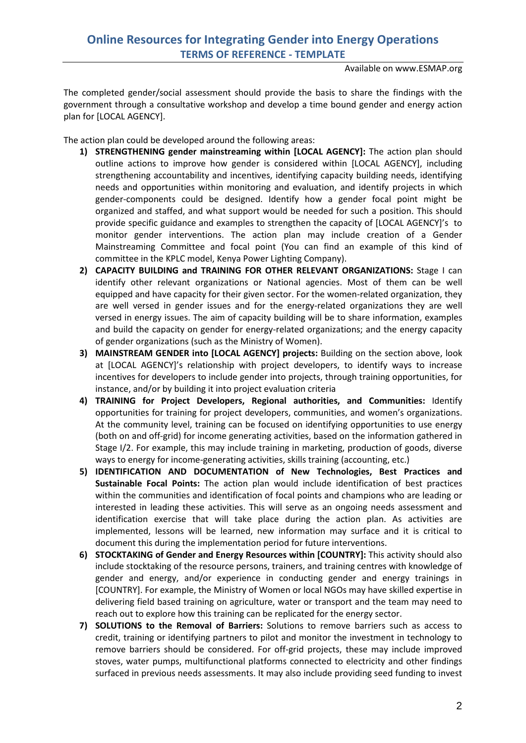Available on www.ESMAP.org

The completed gender/social assessment should provide the basis to share the findings with the government through a consultative workshop and develop a time bound gender and energy action plan for [LOCAL AGENCY].

The action plan could be developed around the following areas:

- **1) STRENGTHENING gender mainstreaming within [LOCAL AGENCY]:** The action plan should outline actions to improve how gender is considered within [LOCAL AGENCY], including strengthening accountability and incentives, identifying capacity building needs, identifying needs and opportunities within monitoring and evaluation, and identify projects in which gender-components could be designed. Identify how a gender focal point might be organized and staffed, and what support would be needed for such a position. This should provide specific guidance and examples to strengthen the capacity of [LOCAL AGENCY]'s to monitor gender interventions. The action plan may include creation of a Gender Mainstreaming Committee and focal point (You can find an example of this kind of committee in the KPLC model, Kenya Power Lighting Company).
- **2) CAPACITY BUILDING and TRAINING FOR OTHER RELEVANT ORGANIZATIONS:** Stage I can identify other relevant organizations or National agencies. Most of them can be well equipped and have capacity for their given sector. For the women-related organization, they are well versed in gender issues and for the energy-related organizations they are well versed in energy issues. The aim of capacity building will be to share information, examples and build the capacity on gender for energy-related organizations; and the energy capacity of gender organizations (such as the Ministry of Women).
- **3) MAINSTREAM GENDER into [LOCAL AGENCY] projects:** Building on the section above, look at [LOCAL AGENCY]'s relationship with project developers, to identify ways to increase incentives for developers to include gender into projects, through training opportunities, for instance, and/or by building it into project evaluation criteria
- **4) TRAINING for Project Developers, Regional authorities, and Communities:** Identify opportunities for training for project developers, communities, and women's organizations. At the community level, training can be focused on identifying opportunities to use energy (both on and off-grid) for income generating activities, based on the information gathered in Stage I/2. For example, this may include training in marketing, production of goods, diverse ways to energy for income-generating activities, skills training (accounting, etc.)
- **5) IDENTIFICATION AND DOCUMENTATION of New Technologies, Best Practices and Sustainable Focal Points:** The action plan would include identification of best practices within the communities and identification of focal points and champions who are leading or interested in leading these activities. This will serve as an ongoing needs assessment and identification exercise that will take place during the action plan. As activities are implemented, lessons will be learned, new information may surface and it is critical to document this during the implementation period for future interventions.
- **6) STOCKTAKING of Gender and Energy Resources within [COUNTRY]:** This activity should also include stocktaking of the resource persons, trainers, and training centres with knowledge of gender and energy, and/or experience in conducting gender and energy trainings in [COUNTRY]. For example, the Ministry of Women or local NGOs may have skilled expertise in delivering field based training on agriculture, water or transport and the team may need to reach out to explore how this training can be replicated for the energy sector.
- **7) SOLUTIONS to the Removal of Barriers:** Solutions to remove barriers such as access to credit, training or identifying partners to pilot and monitor the investment in technology to remove barriers should be considered. For off-grid projects, these may include improved stoves, water pumps, multifunctional platforms connected to electricity and other findings surfaced in previous needs assessments. It may also include providing seed funding to invest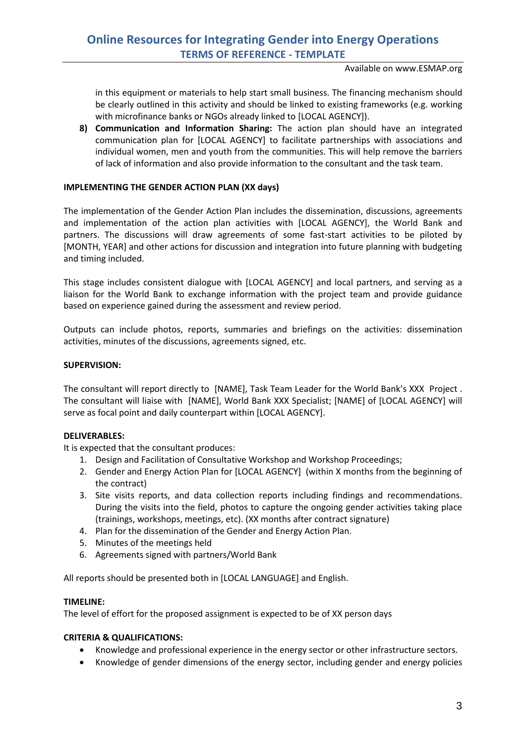Available on www.ESMAP.org

in this equipment or materials to help start small business. The financing mechanism should be clearly outlined in this activity and should be linked to existing frameworks (e.g. working with microfinance banks or NGOs already linked to [LOCAL AGENCY]).

**8) Communication and Information Sharing:** The action plan should have an integrated communication plan for [LOCAL AGENCY] to facilitate partnerships with associations and individual women, men and youth from the communities. This will help remove the barriers of lack of information and also provide information to the consultant and the task team.

### **IMPLEMENTING THE GENDER ACTION PLAN (XX days)**

The implementation of the Gender Action Plan includes the dissemination, discussions, agreements and implementation of the action plan activities with [LOCAL AGENCY], the World Bank and partners. The discussions will draw agreements of some fast-start activities to be piloted by [MONTH, YEAR] and other actions for discussion and integration into future planning with budgeting and timing included.

This stage includes consistent dialogue with [LOCAL AGENCY] and local partners, and serving as a liaison for the World Bank to exchange information with the project team and provide guidance based on experience gained during the assessment and review period.

Outputs can include photos, reports, summaries and briefings on the activities: dissemination activities, minutes of the discussions, agreements signed, etc.

#### **SUPERVISION:**

The consultant will report directly to [NAME], Task Team Leader for the World Bank's XXX Project . The consultant will liaise with [NAME], World Bank XXX Specialist; [NAME] of [LOCAL AGENCY] will serve as focal point and daily counterpart within [LOCAL AGENCY].

#### **DELIVERABLES:**

It is expected that the consultant produces:

- 1. Design and Facilitation of Consultative Workshop and Workshop Proceedings;
- 2. Gender and Energy Action Plan for [LOCAL AGENCY] (within X months from the beginning of the contract)
- 3. Site visits reports, and data collection reports including findings and recommendations. During the visits into the field, photos to capture the ongoing gender activities taking place (trainings, workshops, meetings, etc). (XX months after contract signature)
- 4. Plan for the dissemination of the Gender and Energy Action Plan.
- 5. Minutes of the meetings held
- 6. Agreements signed with partners/World Bank

All reports should be presented both in [LOCAL LANGUAGE] and English.

#### **TIMELINE:**

The level of effort for the proposed assignment is expected to be of XX person days

#### **CRITERIA & QUALIFICATIONS:**

- Knowledge and professional experience in the energy sector or other infrastructure sectors.
- Knowledge of gender dimensions of the energy sector, including gender and energy policies